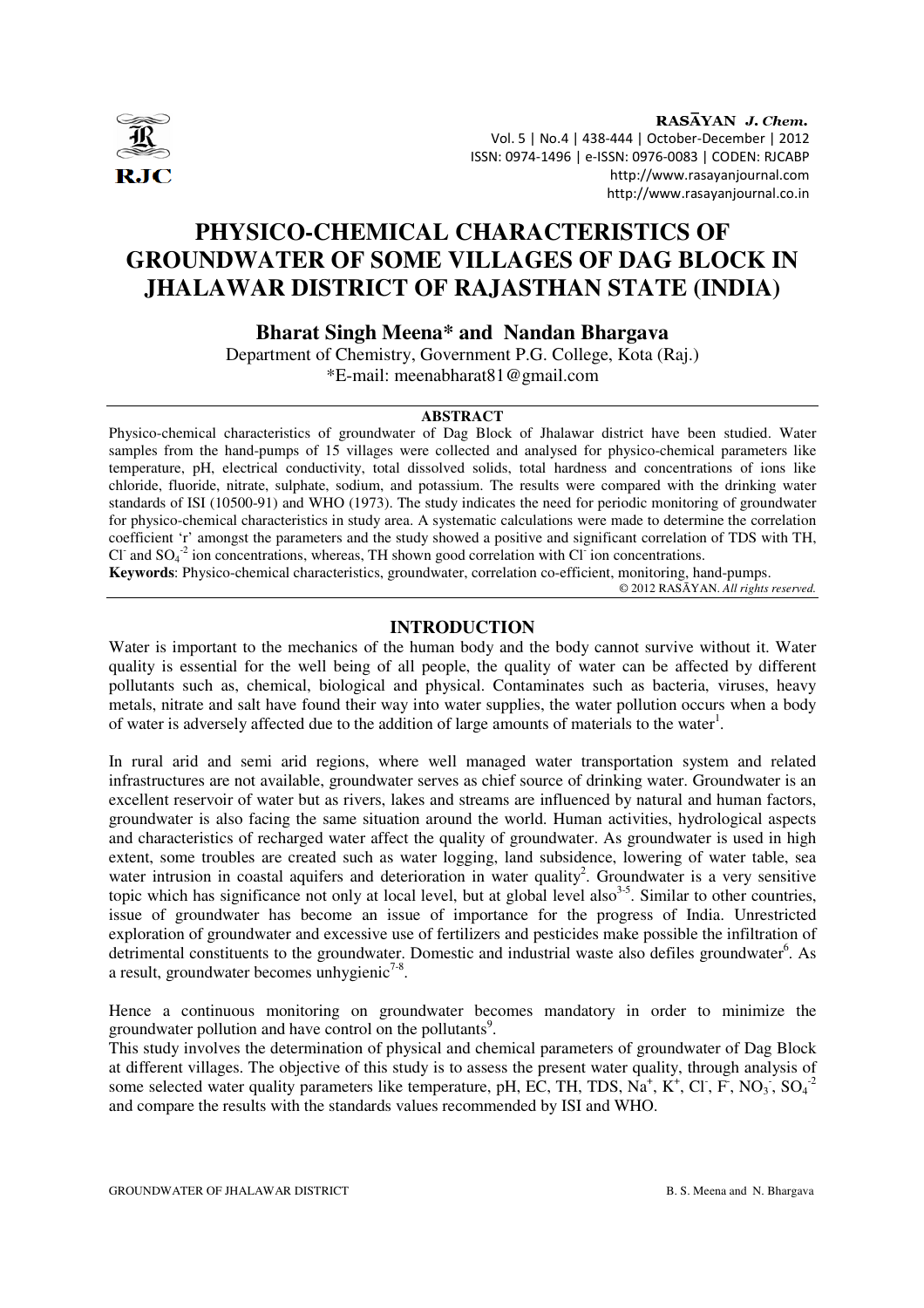

RASAYAN J. Chem. Vol. 5 | No.4 | 438-444 | October-December | 2012 ISSN: 0974-1496 | e-ISSN: 0976-0083 | CODEN: RJCABP http://www.rasayanjournal.com http://www.rasayanjournal.co.in

# **PHYSICO-CHEMICAL CHARACTERISTICS OF GROUNDWATER OF SOME VILLAGES OF DAG BLOCK IN JHALAWAR DISTRICT OF RAJASTHAN STATE (INDIA)**

## **Bharat Singh Meena\* and Nandan Bhargava**

Department of Chemistry, Government P.G. College, Kota (Raj.) \*E-mail: meenabharat81@gmail.com

## **ABSTRACT**

Physico-chemical characteristics of groundwater of Dag Block of Jhalawar district have been studied. Water samples from the hand-pumps of 15 villages were collected and analysed for physico-chemical parameters like temperature, pH, electrical conductivity, total dissolved solids, total hardness and concentrations of ions like chloride, fluoride, nitrate, sulphate, sodium, and potassium. The results were compared with the drinking water standards of ISI (10500-91) and WHO (1973). The study indicates the need for periodic monitoring of groundwater for physico-chemical characteristics in study area. A systematic calculations were made to determine the correlation coefficient 'r' amongst the parameters and the study showed a positive and significant correlation of TDS with TH, Cl<sup>-</sup> and SO<sub>4</sub><sup>-2</sup> ion concentrations, whereas, TH shown good correlation with Cl<sup>-</sup> ion concentrations.

**Keywords**: Physico-chemical characteristics, groundwater, correlation co-efficient, monitoring, hand-pumps.

© 2012 RASĀYAN. *All rights reserved.*

## **INTRODUCTION**

Water is important to the mechanics of the human body and the body cannot survive without it. Water quality is essential for the well being of all people, the quality of water can be affected by different pollutants such as, chemical, biological and physical. Contaminates such as bacteria, viruses, heavy metals, nitrate and salt have found their way into water supplies, the water pollution occurs when a body of water is adversely affected due to the addition of large amounts of materials to the water<sup>1</sup>.

In rural arid and semi arid regions, where well managed water transportation system and related infrastructures are not available, groundwater serves as chief source of drinking water. Groundwater is an excellent reservoir of water but as rivers, lakes and streams are influenced by natural and human factors, groundwater is also facing the same situation around the world. Human activities, hydrological aspects and characteristics of recharged water affect the quality of groundwater. As groundwater is used in high extent, some troubles are created such as water logging, land subsidence, lowering of water table, sea water intrusion in coastal aquifers and deterioration in water quality<sup>2</sup>. Groundwater is a very sensitive topic which has significance not only at local level, but at global level also  $3-5$ . Similar to other countries, issue of groundwater has become an issue of importance for the progress of India. Unrestricted exploration of groundwater and excessive use of fertilizers and pesticides make possible the infiltration of detrimental constituents to the groundwater. Domestic and industrial waste also defiles groundwater<sup>6</sup>. As a result, groundwater becomes unhygienic<sup>7-8</sup>.

Hence a continuous monitoring on groundwater becomes mandatory in order to minimize the groundwater pollution and have control on the pollutants<sup>9</sup>.

This study involves the determination of physical and chemical parameters of groundwater of Dag Block at different villages. The objective of this study is to assess the present water quality, through analysis of some selected water quality parameters like temperature, pH, EC, TH, TDS,  $Na^+$ , K<sup>+</sup>, Cl<sup>-</sup>, F, NO<sub>3</sub>, SO<sub>4</sub><sup>-2</sup> and compare the results with the standards values recommended by ISI and WHO.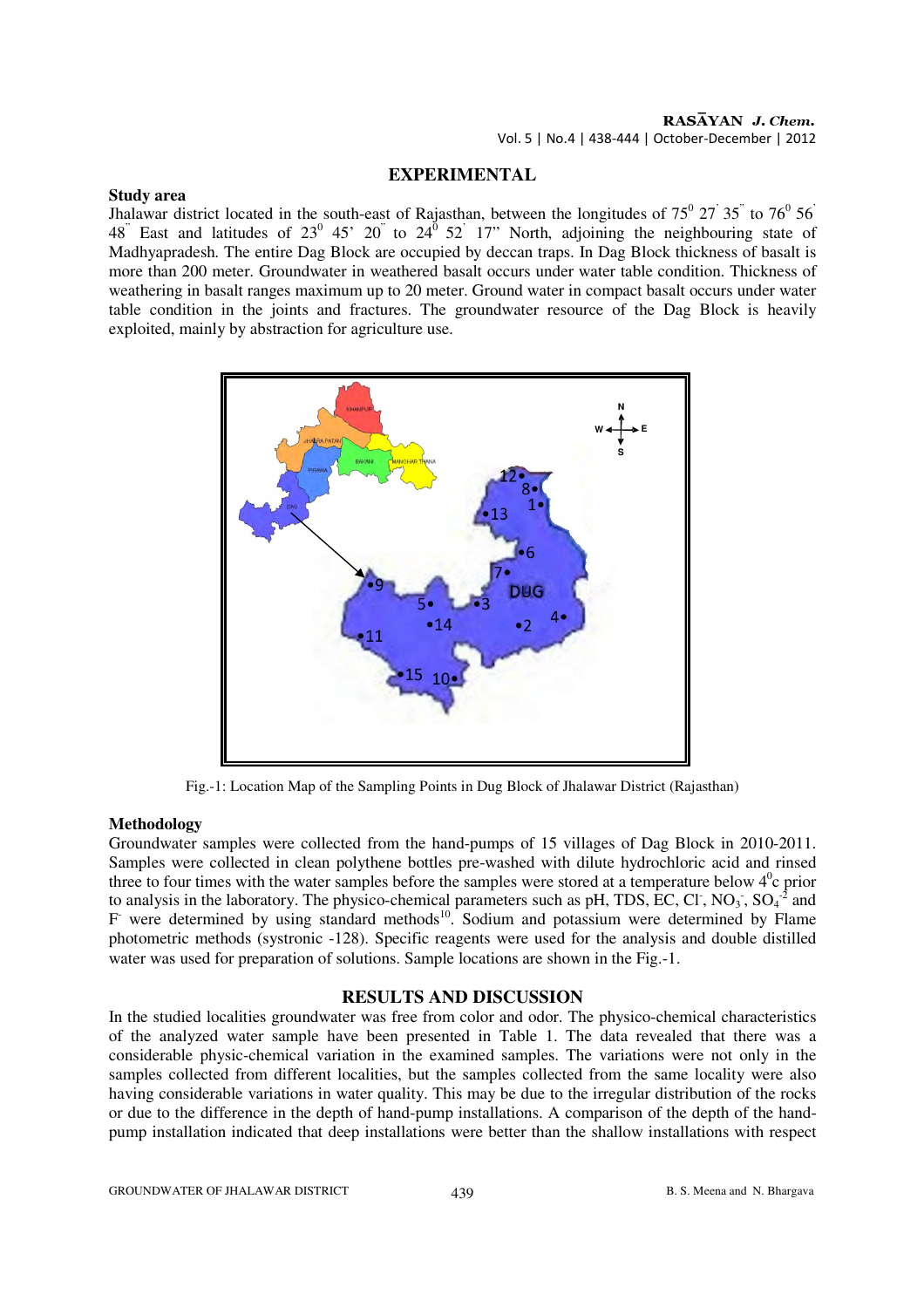#### **EXPERIMENTAL**

#### **Study area**

Jhalawar district located in the south-east of Rajasthan, between the longitudes of  $75^{\circ}$   $27^{\circ}$   $35^{\circ}$  to  $76^{\circ}$   $56^{\circ}$ 48<sup>"</sup> East and latitudes of  $23^{\circ}$  45'  $20^{\circ}$  to  $24^{\circ}$  52<sup>'</sup> 17" North, adjoining the neighbouring state of Madhyapradesh. The entire Dag Block are occupied by deccan traps. In Dag Block thickness of basalt is more than 200 meter. Groundwater in weathered basalt occurs under water table condition. Thickness of weathering in basalt ranges maximum up to 20 meter. Ground water in compact basalt occurs under water table condition in the joints and fractures. The groundwater resource of the Dag Block is heavily exploited, mainly by abstraction for agriculture use.



Fig.-1: Location Map of the Sampling Points in Dug Block of Jhalawar District (Rajasthan)

#### **Methodology**

Groundwater samples were collected from the hand-pumps of 15 villages of Dag Block in 2010-2011. Samples were collected in clean polythene bottles pre-washed with dilute hydrochloric acid and rinsed three to four times with the water samples before the samples were stored at a temperature below  $4^0c$  prior to analysis in the laboratory. The physico-chemical parameters such as pH, TDS, EC, Cl, NO<sub>3</sub>, SO<sub>4</sub><sup>-2</sup> and F were determined by using standard methods<sup>10</sup>. Sodium and potassium were determined by Flame photometric methods (systronic -128). Specific reagents were used for the analysis and double distilled water was used for preparation of solutions. Sample locations are shown in the Fig.-1.

#### **RESULTS AND DISCUSSION**

In the studied localities groundwater was free from color and odor. The physico-chemical characteristics of the analyzed water sample have been presented in Table 1. The data revealed that there was a considerable physic-chemical variation in the examined samples. The variations were not only in the samples collected from different localities, but the samples collected from the same locality were also having considerable variations in water quality. This may be due to the irregular distribution of the rocks or due to the difference in the depth of hand-pump installations. A comparison of the depth of the handpump installation indicated that deep installations were better than the shallow installations with respect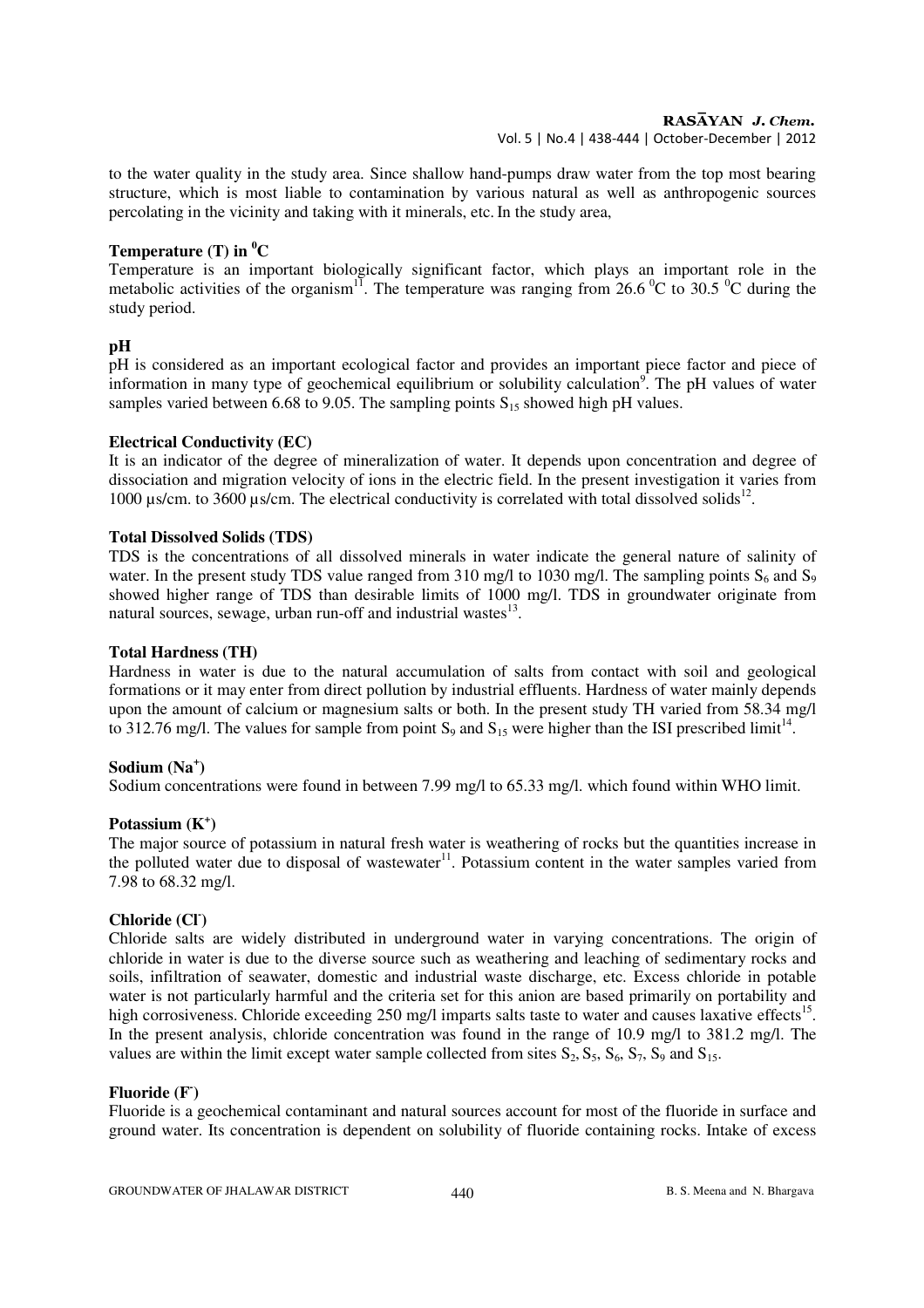to the water quality in the study area. Since shallow hand-pumps draw water from the top most bearing structure, which is most liable to contamination by various natural as well as anthropogenic sources percolating in the vicinity and taking with it minerals, etc.In the study area,

### **Temperature (T) in <sup>0</sup>C**

Temperature is an important biologically significant factor, which plays an important role in the metabolic activities of the organism<sup>11</sup>. The temperature was ranging from 26.6<sup>o</sup>C to 30.5<sup>o</sup>C during the study period.

## **pH**

pH is considered as an important ecological factor and provides an important piece factor and piece of information in many type of geochemical equilibrium or solubility calculation<sup>9</sup>. The pH values of water samples varied between 6.68 to 9.05. The sampling points  $S_{15}$  showed high pH values.

### **Electrical Conductivity (EC)**

It is an indicator of the degree of mineralization of water. It depends upon concentration and degree of dissociation and migration velocity of ions in the electric field. In the present investigation it varies from 1000  $\mu$ s/cm. to 3600  $\mu$ s/cm. The electrical conductivity is correlated with total dissolved solids<sup>12</sup>.

### **Total Dissolved Solids (TDS)**

TDS is the concentrations of all dissolved minerals in water indicate the general nature of salinity of water. In the present study TDS value ranged from 310 mg/l to 1030 mg/l. The sampling points  $S_6$  and  $S_9$ showed higher range of TDS than desirable limits of 1000 mg/l. TDS in groundwater originate from natural sources, sewage, urban run-off and industrial wastes $^{13}$ .

### **Total Hardness (TH)**

Hardness in water is due to the natural accumulation of salts from contact with soil and geological formations or it may enter from direct pollution by industrial effluents. Hardness of water mainly depends upon the amount of calcium or magnesium salts or both. In the present study TH varied from 58.34 mg/l to 312.76 mg/l. The values for sample from point  $S_9$  and  $S_{15}$  were higher than the ISI prescribed limit<sup>14</sup>.

## **Sodium (Na<sup>+</sup> )**

Sodium concentrations were found in between 7.99 mg/l to 65.33 mg/l. which found within WHO limit.

## **Potassium (K<sup>+</sup> )**

The major source of potassium in natural fresh water is weathering of rocks but the quantities increase in the polluted water due to disposal of wastewater $11$ . Potassium content in the water samples varied from 7.98 to 68.32 mg/l.

## **Chloride (Cl- )**

Chloride salts are widely distributed in underground water in varying concentrations. The origin of chloride in water is due to the diverse source such as weathering and leaching of sedimentary rocks and soils, infiltration of seawater, domestic and industrial waste discharge, etc. Excess chloride in potable water is not particularly harmful and the criteria set for this anion are based primarily on portability and high corrosiveness. Chloride exceeding 250 mg/l imparts salts taste to water and causes laxative effects<sup>15</sup>. In the present analysis, chloride concentration was found in the range of 10.9 mg/l to 381.2 mg/l. The values are within the limit except water sample collected from sites  $S_2$ ,  $S_5$ ,  $S_6$ ,  $S_7$ ,  $S_9$  and  $S_{15}$ .

## **Fluoride (F- )**

Fluoride is a geochemical contaminant and natural sources account for most of the fluoride in surface and ground water. Its concentration is dependent on solubility of fluoride containing rocks. Intake of excess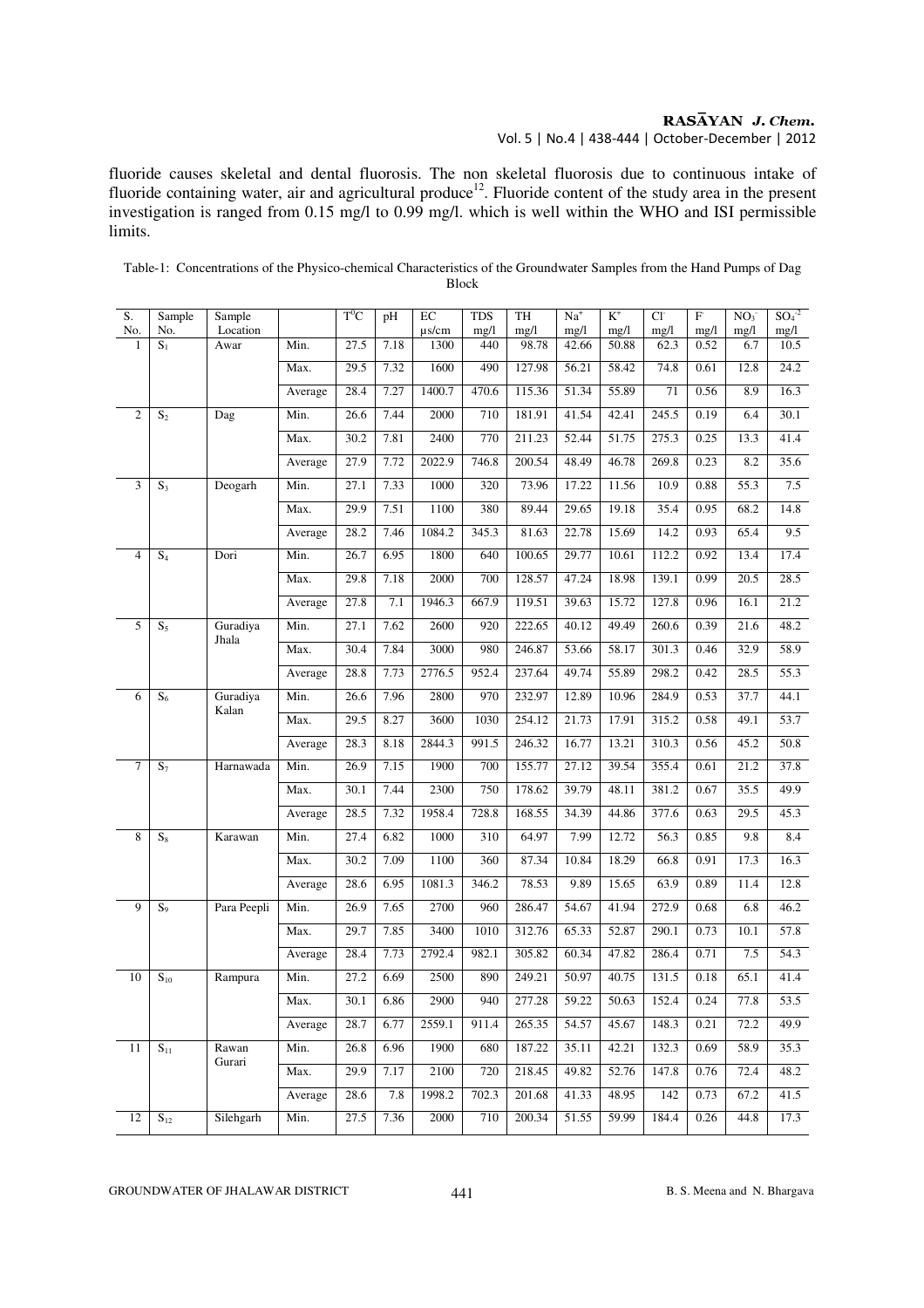## RASAYAN J. Chem.

Vol. 5 | No.4 | 438-444 | October-December | 2012

fluoride causes skeletal and dental fluorosis. The non skeletal fluorosis due to continuous intake of fluoride containing water, air and agricultural produce<sup>12</sup>. Fluoride content of the study area in the present investigation is ranged from 0.15 mg/l to 0.99 mg/l. which is well within the WHO and ISI permissible limits.

| S.<br>No.      | Sample<br>No.     | Sample<br>Location |         | $\rm T^0\rm C$ | pH   | EC<br>$\mu$ s/cm | <b>TDS</b><br>mg/l | TH<br>mg/l | $Na+$<br>mg/l | $K^+$<br>mg/l | $Cl-$<br>mg/l | F<br>mg/l | NO <sub>3</sub><br>mg/l | $SO_4^2$<br>mg/l |
|----------------|-------------------|--------------------|---------|----------------|------|------------------|--------------------|------------|---------------|---------------|---------------|-----------|-------------------------|------------------|
| 1              | $S_1$             | Awar               | Min.    | 27.5           | 7.18 | 1300             | 440                | 98.78      | 42.66         | 50.88         | 62.3          | 0.52      | 6.7                     | 10.5             |
|                |                   |                    | Max.    | 29.5           | 7.32 | 1600             | 490                | 127.98     | 56.21         | 58.42         | 74.8          | 0.61      | 12.8                    | 24.2             |
|                |                   |                    | Average | 28.4           | 7.27 | 1400.7           | 470.6              | 115.36     | 51.34         | 55.89         | 71            | 0.56      | 8.9                     | 16.3             |
| $\overline{2}$ | S <sub>2</sub>    | Dag                | Min.    | 26.6           | 7.44 | 2000             | 710                | 181.91     | 41.54         | 42.41         | 245.5         | 0.19      | 6.4                     | 30.1             |
|                |                   |                    | Max.    | 30.2           | 7.81 | 2400             | 770                | 211.23     | 52.44         | 51.75         | 275.3         | 0.25      | 13.3                    | 41.4             |
|                |                   |                    | Average | 27.9           | 7.72 | 2022.9           | 746.8              | 200.54     | 48.49         | 46.78         | 269.8         | 0.23      | 8.2                     | 35.6             |
| 3              | $S_3$             | Deogarh            | Min.    | 27.1           | 7.33 | 1000             | 320                | 73.96      | 17.22         | 11.56         | 10.9          | 0.88      | 55.3                    | 7.5              |
|                |                   |                    | Max.    | 29.9           | 7.51 | 1100             | 380                | 89.44      | 29.65         | 19.18         | 35.4          | 0.95      | 68.2                    | 14.8             |
|                |                   |                    | Average | 28.2           | 7.46 | 1084.2           | 345.3              | 81.63      | 22.78         | 15.69         | 14.2          | 0.93      | 65.4                    | 9.5              |
| $\overline{4}$ | $S_4$             | Dori               | Min.    | 26.7           | 6.95 | 1800             | 640                | 100.65     | 29.77         | 10.61         | 112.2         | 0.92      | 13.4                    | 17.4             |
|                |                   |                    | Max.    | 29.8           | 7.18 | 2000             | 700                | 128.57     | 47.24         | 18.98         | 139.1         | 0.99      | 20.5                    | 28.5             |
|                |                   |                    | Average | 27.8           | 7.1  | 1946.3           | 667.9              | 119.51     | 39.63         | 15.72         | 127.8         | 0.96      | 16.1                    | 21.2             |
| 5              | $S_5$             | Guradiya<br>Jhala  | Min.    | 27.1           | 7.62 | 2600             | 920                | 222.65     | 40.12         | 49.49         | 260.6         | 0.39      | 21.6                    | 48.2             |
|                |                   |                    | Max.    | 30.4           | 7.84 | 3000             | 980                | 246.87     | 53.66         | 58.17         | 301.3         | 0.46      | 32.9                    | 58.9             |
|                |                   |                    | Average | 28.8           | 7.73 | 2776.5           | 952.4              | 237.64     | 49.74         | 55.89         | 298.2         | 0.42      | 28.5                    | 55.3             |
| 6              | $S_6$             | Guradiya<br>Kalan  | Min.    | 26.6           | 7.96 | 2800             | 970                | 232.97     | 12.89         | 10.96         | 284.9         | 0.53      | 37.7                    | 44.1             |
|                |                   |                    | Max.    | 29.5           | 8.27 | 3600             | 1030               | 254.12     | 21.73         | 17.91         | 315.2         | 0.58      | 49.1                    | 53.7             |
|                |                   |                    | Average | 28.3           | 8.18 | 2844.3           | 991.5              | 246.32     | 16.77         | 13.21         | 310.3         | 0.56      | 45.2                    | 50.8             |
| $\tau$         | $S_7$             | Harnawada          | Min.    | 26.9           | 7.15 | 1900             | 700                | 155.77     | 27.12         | 39.54         | 355.4         | 0.61      | 21.2                    | 37.8             |
|                |                   |                    | Max.    | 30.1           | 7.44 | 2300             | 750                | 178.62     | 39.79         | 48.11         | 381.2         | 0.67      | 35.5                    | 49.9             |
|                |                   |                    | Average | 28.5           | 7.32 | 1958.4           | 728.8              | 168.55     | 34.39         | 44.86         | 377.6         | 0.63      | 29.5                    | 45.3             |
| 8              | $S_8$             | Karawan            | Min.    | 27.4           | 6.82 | 1000             | 310                | 64.97      | 7.99          | 12.72         | 56.3          | 0.85      | 9.8                     | 8.4              |
|                |                   |                    | Max.    | 30.2           | 7.09 | 1100             | 360                | 87.34      | 10.84         | 18.29         | 66.8          | 0.91      | 17.3                    | 16.3             |
|                |                   |                    | Average | 28.6           | 6.95 | 1081.3           | 346.2              | 78.53      | 9.89          | 15.65         | 63.9          | 0.89      | 11.4                    | 12.8             |
| 9              | $S_9$             | Para Peepli        | Min.    | 26.9           | 7.65 | 2700             | 960                | 286.47     | 54.67         | 41.94         | 272.9         | 0.68      | 6.8                     | 46.2             |
|                |                   |                    | Max.    | 29.7           | 7.85 | 3400             | 1010               | 312.76     | 65.33         | 52.87         | 290.1         | 0.73      | 10.1                    | 57.8             |
|                |                   |                    | Average | 28.4           | 7.73 | 2792.4           | 982.1              | 305.82     | 60.34         | 47.82         | 286.4         | 0.71      | 7.5                     | 54.3             |
| 10             | $\mathbf{S}_{10}$ | Rampura            | Min.    | 27.2           | 6.69 | 2500             | 890                | 249.21     | 50.97         | 40.75         | 131.5         | 0.18      | 65.1                    | 41.4             |
|                |                   |                    | Max.    | 30.1           | 6.86 | 2900             | 940                | 277.28     | 59.22         | 50.63         | 152.4         | 0.24      | 77.8                    | 53.5             |
|                |                   |                    | Average | 28.7           | 6.77 | 2559.1           | 911.4              | 265.35     | 54.57         | 45.67         | 148.3         | 0.21      | 72.2                    | 49.9             |
| 11             | $S_{11}$          | Rawan<br>Gurari    | Min.    | 26.8           | 6.96 | 1900             | 680                | 187.22     | 35.11         | 42.21         | 132.3         | 0.69      | 58.9                    | 35.3             |
|                |                   |                    | Max.    | 29.9           | 7.17 | 2100             | 720                | 218.45     | 49.82         | 52.76         | 147.8         | 0.76      | 72.4                    | 48.2             |
|                |                   |                    | Average | 28.6           | 7.8  | 1998.2           | 702.3              | 201.68     | 41.33         | 48.95         | 142           | 0.73      | 67.2                    | 41.5             |
| 12             | $S_{12}$          | Silehgarh          | Min.    | 27.5           | 7.36 | 2000             | 710                | 200.34     | 51.55         | 59.99         | 184.4         | 0.26      | 44.8                    | 17.3             |

Table-1: Concentrations of the Physico-chemical Characteristics of the Groundwater Samples from the Hand Pumps of Dag Block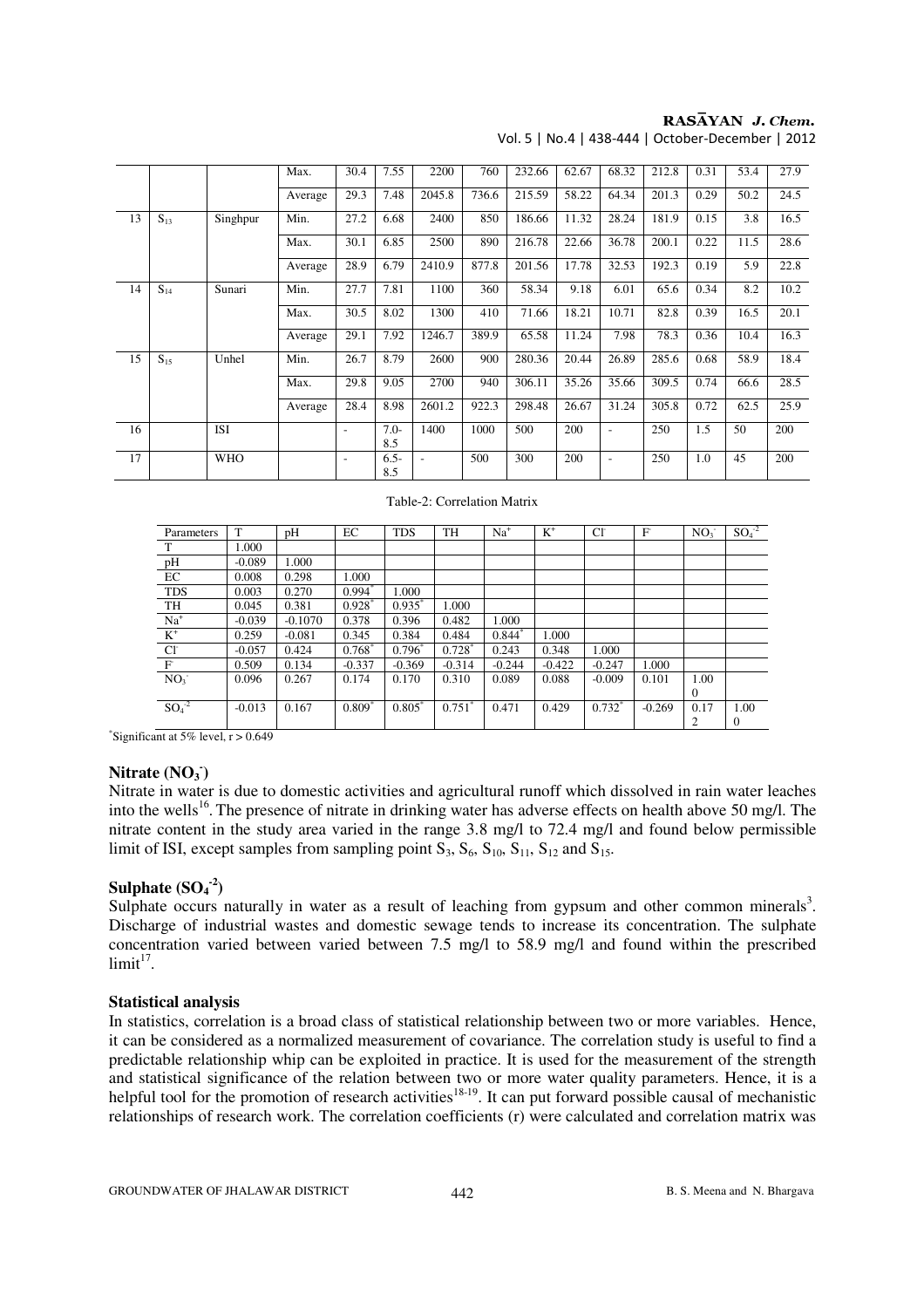## $RAS\overline{AYAN}$  J. Chem.

| Vol. 5   No.4   438-444   October-December   2012 |  |  |
|---------------------------------------------------|--|--|
|---------------------------------------------------|--|--|

|    |          |            | Max.    | 30.4                     | 7.55           | 2200   | 760   | 232.66 | 62.67 | 68.32 | 212.8 | 0.31 | 53.4 | 27.9 |
|----|----------|------------|---------|--------------------------|----------------|--------|-------|--------|-------|-------|-------|------|------|------|
|    |          |            | Average | 29.3                     | 7.48           | 2045.8 | 736.6 | 215.59 | 58.22 | 64.34 | 201.3 | 0.29 | 50.2 | 24.5 |
| 13 | $S_{13}$ | Singhpur   | Min.    | 27.2                     | 6.68           | 2400   | 850   | 186.66 | 11.32 | 28.24 | 181.9 | 0.15 | 3.8  | 16.5 |
|    |          |            | Max.    | 30.1                     | 6.85           | 2500   | 890   | 216.78 | 22.66 | 36.78 | 200.1 | 0.22 | 11.5 | 28.6 |
|    |          |            | Average | 28.9                     | 6.79           | 2410.9 | 877.8 | 201.56 | 17.78 | 32.53 | 192.3 | 0.19 | 5.9  | 22.8 |
| 14 | $S_{14}$ | Sunari     | Min.    | 27.7                     | 7.81           | 1100   | 360   | 58.34  | 9.18  | 6.01  | 65.6  | 0.34 | 8.2  | 10.2 |
|    |          |            | Max.    | 30.5                     | 8.02           | 1300   | 410   | 71.66  | 18.21 | 10.71 | 82.8  | 0.39 | 16.5 | 20.1 |
|    |          |            | Average | 29.1                     | 7.92           | 1246.7 | 389.9 | 65.58  | 11.24 | 7.98  | 78.3  | 0.36 | 10.4 | 16.3 |
| 15 | $S_{15}$ | Unhel      | Min.    | 26.7                     | 8.79           | 2600   | 900   | 280.36 | 20.44 | 26.89 | 285.6 | 0.68 | 58.9 | 18.4 |
|    |          |            | Max.    | 29.8                     | 9.05           | 2700   | 940   | 306.11 | 35.26 | 35.66 | 309.5 | 0.74 | 66.6 | 28.5 |
|    |          |            | Average | 28.4                     | 8.98           | 2601.2 | 922.3 | 298.48 | 26.67 | 31.24 | 305.8 | 0.72 | 62.5 | 25.9 |
| 16 |          | <b>ISI</b> |         | $\overline{\phantom{a}}$ | $7.0 -$<br>8.5 | 1400   | 1000  | 500    | 200   | ٠     | 250   | 1.5  | 50   | 200  |
| 17 |          | <b>WHO</b> |         |                          | $6.5 -$<br>8.5 |        | 500   | 300    | 200   |       | 250   | 1.0  | 45   | 200  |

Table-2: Correlation Matrix

| Parameters      | T        | pH        | EC                   | <b>TDS</b> | TH                   | $Na+$    | $K^+$    | $Cl^{\dagger}$ | F        | NO <sub>3</sub> | $SO4-2$      |
|-----------------|----------|-----------|----------------------|------------|----------------------|----------|----------|----------------|----------|-----------------|--------------|
| T               | 1.000    |           |                      |            |                      |          |          |                |          |                 |              |
| $p\overline{H}$ | $-0.089$ | 1.000     |                      |            |                      |          |          |                |          |                 |              |
| EC              | 0.008    | 0.298     | 1.000                |            |                      |          |          |                |          |                 |              |
| <b>TDS</b>      | 0.003    | 0.270     | $0.994*$             | 1.000      |                      |          |          |                |          |                 |              |
| TH              | 0.045    | 0.381     | $0.928$ <sup>*</sup> | 0.935      | 1.000                |          |          |                |          |                 |              |
| $Na+$           | $-0.039$ | $-0.1070$ | 0.378                | 0.396      | 0.482                | 1.000    |          |                |          |                 |              |
| $K^+$           | 0.259    | $-0.081$  | 0.345                | 0.384      | 0.484                | $0.844*$ | 1.000    |                |          |                 |              |
| CI              | $-0.057$ | 0.424     | $0.768*$             | $0.796*$   | $0.728$ <sup>*</sup> | 0.243    | 0.348    | 1.000          |          |                 |              |
| $\overline{F}$  | 0.509    | 0.134     | $-0.337$             | $-0.369$   | $-0.314$             | $-0.244$ | $-0.422$ | $-0.247$       | 1.000    |                 |              |
| NO <sub>3</sub> | 0.096    | 0.267     | 0.174                | 0.170      | 0.310                | 0.089    | 0.088    | $-0.009$       | 0.101    | 1.00            |              |
|                 |          |           |                      |            |                      |          |          |                |          | $\mathbf{0}$    |              |
| $SO4-2$         | $-0.013$ | 0.167     | $0.809*$             | $0.805*$   | 0.751                | 0.471    | 0.429    | $0.732^*$      | $-0.269$ | 0.17            | 1.00         |
|                 |          |           |                      |            |                      |          |          |                |          | 2               | $\mathbf{0}$ |

\*Significant at 5% level,  $r > 0.649$ 

## **Nitrate (NO<sup>3</sup> - )**

Nitrate in water is due to domestic activities and agricultural runoff which dissolved in rain water leaches into the wells<sup>16</sup>. The presence of nitrate in drinking water has adverse effects on health above 50 mg/l. The nitrate content in the study area varied in the range 3.8 mg/l to 72.4 mg/l and found below permissible limit of ISI, except samples from sampling point  $S_3$ ,  $S_6$ ,  $S_{10}$ ,  $S_{11}$ ,  $S_{12}$  and  $S_{15}$ .

## **Sulphate**  $(SO_4^2)$

Sulphate occurs naturally in water as a result of leaching from gypsum and other common minerals<sup>3</sup>. Discharge of industrial wastes and domestic sewage tends to increase its concentration. The sulphate concentration varied between varied between 7.5 mg/l to 58.9 mg/l and found within the prescribed  $limit<sup>17</sup>$ .

#### **Statistical analysis**

In statistics, correlation is a broad class of statistical relationship between two or more variables. Hence, it can be considered as a normalized measurement of covariance. The correlation study is useful to find a predictable relationship whip can be exploited in practice. It is used for the measurement of the strength and statistical significance of the relation between two or more water quality parameters. Hence, it is a helpful tool for the promotion of research activities<sup>18-19</sup>. It can put forward possible causal of mechanistic relationships of research work. The correlation coefficients (r) were calculated and correlation matrix was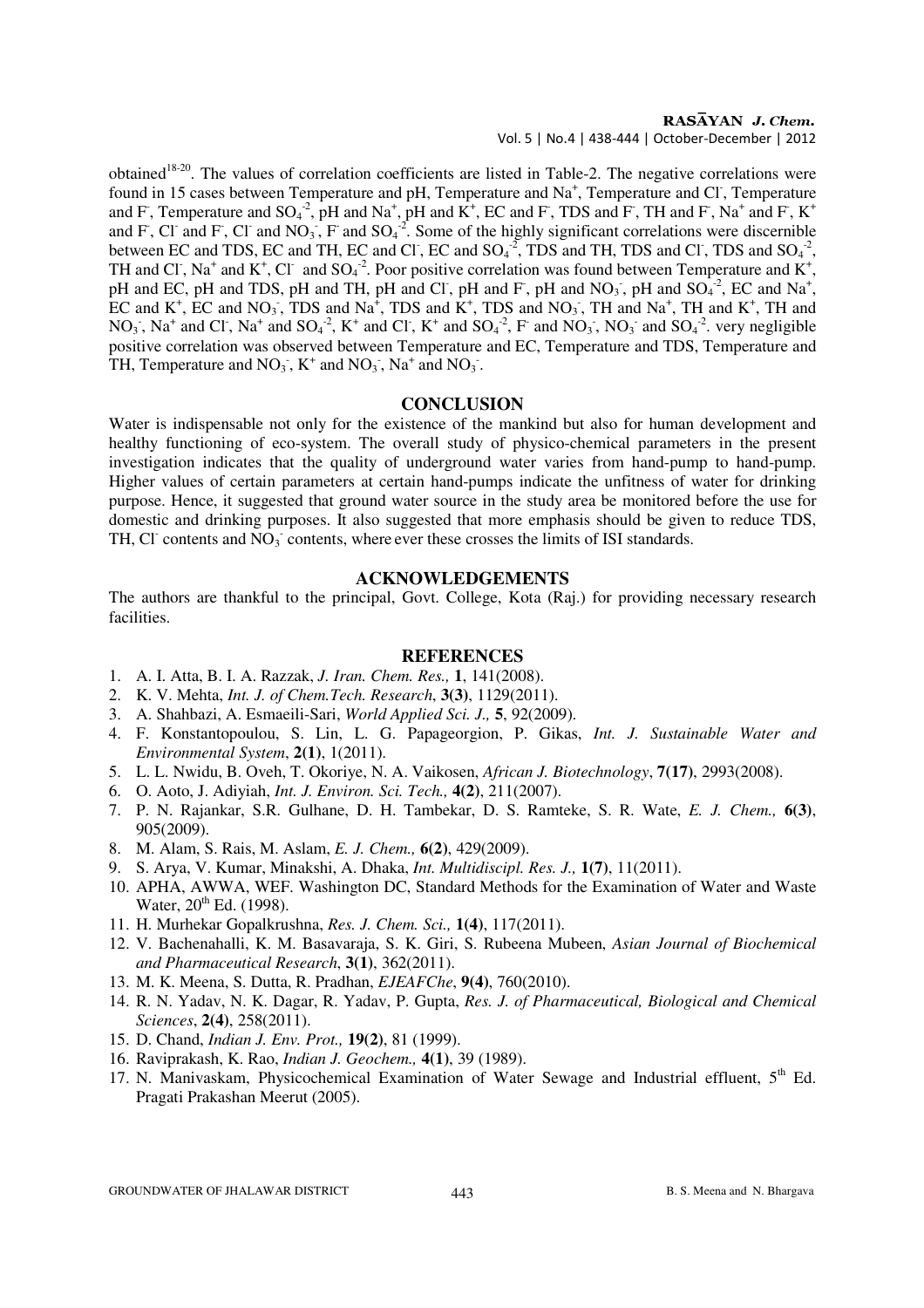# RASAYAN J. Chem.

Vol. 5 | No.4 | 438-444 | October-December | 2012

obtained<sup>18-20</sup>. The values of correlation coefficients are listed in Table-2. The negative correlations were found in 15 cases between Temperature and pH, Temperature and  $Na<sup>+</sup>$ , Temperature and Cl, Temperature and F, Temperature and  $SO_4^2$ , pH and Na<sup>+</sup>, pH and K<sup>+</sup>, EC and F, TDS and F, TH and F, Na<sup>+</sup> and F, K<sup>+</sup> and F, Cl and F, Cl and NO<sub>3</sub>, F and SO<sub>4</sub><sup>-2</sup>. Some of the highly significant correlations were discernible between EC and TDS, EC and TH, EC and Cl<sup>-</sup>, EC and SO<sub>4</sub><sup>-2</sup>, TDS and TH, TDS and Cl<sup>-</sup>, TDS and SO<sub>4</sub><sup>-2</sup>, TH and Cl<sup>-</sup>, Na<sup>+</sup> and K<sup>+</sup>, Cl<sup>-</sup> and SO<sub>4</sub><sup>-2</sup>. Poor positive correlation was found between Temperature and K<sup>+</sup>, pH and EC, pH and TDS, pH and TH, pH and Cl<sup>-</sup>, pH and F<sup>-</sup>, pH and NO<sub>3</sub><sup>-</sup>, pH and SO<sub>4</sub><sup>-2</sup>, EC and Na<sup>+</sup>, EC and  $K^+$ , EC and NO<sub>3</sub>, TDS and Na<sup>+</sup>, TDS and  $K^+$ , TDS and NO<sub>3</sub>, TH and Na<sup>+</sup>, TH and K<sup>+</sup>, TH and  $NO_3$ ,  $Na^+$  and  $Cl$ ,  $Na^+$  and  $SO_4^2$ ,  $K^+$  and  $Cl$ ,  $K^+$  and  $SO_4^2$ ,  $F^-$  and  $NO_3$ ,  $NO_3^-$  and  $SO_4^2$ . very negligible positive correlation was observed between Temperature and EC, Temperature and TDS, Temperature and TH, Temperature and  $NO_3$ ,  $K^+$  and  $NO_3$ ,  $Na^+$  and  $NO_3$ .

#### **CONCLUSION**

Water is indispensable not only for the existence of the mankind but also for human development and healthy functioning of eco-system. The overall study of physico-chemical parameters in the present investigation indicates that the quality of underground water varies from hand-pump to hand-pump. Higher values of certain parameters at certain hand-pumps indicate the unfitness of water for drinking purpose. Hence, it suggested that ground water source in the study area be monitored before the use for domestic and drinking purposes. It also suggested that more emphasis should be given to reduce TDS, TH, Cl<sup>-</sup> contents and  $\overline{NO_3}$  contents, where ever these crosses the limits of ISI standards.

#### **ACKNOWLEDGEMENTS**

The authors are thankful to the principal, Govt. College, Kota (Raj.) for providing necessary research facilities.

#### **REFERENCES**

- 1. A. I. Atta, B. I. A. Razzak, *J. Iran. Chem. Res.,* **1**, 141(2008).
- 2. K. V. Mehta, *Int. J. of Chem.Tech. Research*, **3(3)**, 1129(2011).
- 3. A. Shahbazi, A. Esmaeili-Sari, *World Applied Sci. J.,* **5**, 92(2009).
- 4. F. Konstantopoulou, S. Lin, L. G. Papageorgion, P. Gikas, *Int. J. Sustainable Water and Environmental System*, **2(1)**, 1(2011).
- 5. L. L. Nwidu, B. Oveh, T. Okoriye, N. A. Vaikosen, *African J. Biotechnology*, **7(17)**, 2993(2008).
- 6. O. Aoto, J. Adiyiah, *Int. J. Environ. Sci. Tech.,* **4(2)**, 211(2007).
- 7. P. N. Rajankar, S.R. Gulhane, D. H. Tambekar, D. S. Ramteke, S. R. Wate, *E. J. Chem.,* **6(3)**, 905(2009).
- 8. M. Alam, S. Rais, M. Aslam, *E. J. Chem.,* **6(2)**, 429(2009).
- 9. S. Arya, V. Kumar, Minakshi, A. Dhaka, *Int. Multidiscipl. Res. J.,* **1(7)**, 11(2011).
- 10. APHA, AWWA, WEF. Washington DC, Standard Methods for the Examination of Water and Waste Water,  $20^{th}$  Ed. (1998).
- 11. H. Murhekar Gopalkrushna, *Res. J. Chem. Sci.,* **1(4)**, 117(2011).
- 12. V. Bachenahalli, K. M. Basavaraja, S. K. Giri, S. Rubeena Mubeen, *Asian Journal of Biochemical and Pharmaceutical Research*, **3(1)**, 362(2011).
- 13. M. K. Meena, S. Dutta, R. Pradhan, *EJEAFChe*, **9(4)**, 760(2010).
- 14. R. N. Yadav, N. K. Dagar, R. Yadav, P. Gupta, *Res. J. of Pharmaceutical, Biological and Chemical Sciences*, **2(4)**, 258(2011).
- 15. D. Chand, *Indian J. Env. Prot.,* **19(2)**, 81 (1999).
- 16. Raviprakash, K. Rao, *Indian J. Geochem.,* **4(1)**, 39 (1989).
- 17. N. Manivaskam, Physicochemical Examination of Water Sewage and Industrial effluent, 5<sup>th</sup> Ed. Pragati Prakashan Meerut (2005).